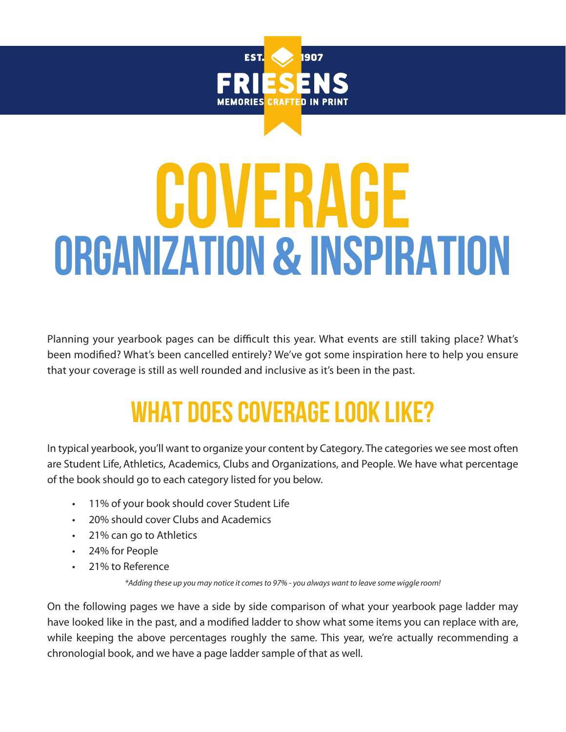

## **COVERAGE ORGANIZATION & INSPIRATION**

Planning your yearbook pages can be difficult this year. What events are still taking place? What's been modified? What's been cancelled entirely? We've got some inspiration here to help you ensure that your coverage is still as well rounded and inclusive as it's been in the past.

## **WHAT DOES COVERAGE LOOK LIKE?**

In typical yearbook, you'll want to organize your content by Category. The categories we see most often are Student Life, Athletics, Academics, Clubs and Organizations, and People. We have what percentage of the book should go to each category listed for you below.

- 11% of your book should cover Student Life
- 20% should cover Clubs and Academics
- 21% can go to Athletics
- 24% for People
- 21% to Reference

*\*Adding these up you may notice it comes to 97% - you always want to leave some wiggle room!*

On the following pages we have a side by side comparison of what your yearbook page ladder may have looked like in the past, and a modified ladder to show what some items you can replace with are, while keeping the above percentages roughly the same. This year, we're actually recommending a chronologial book, and we have a page ladder sample of that as well.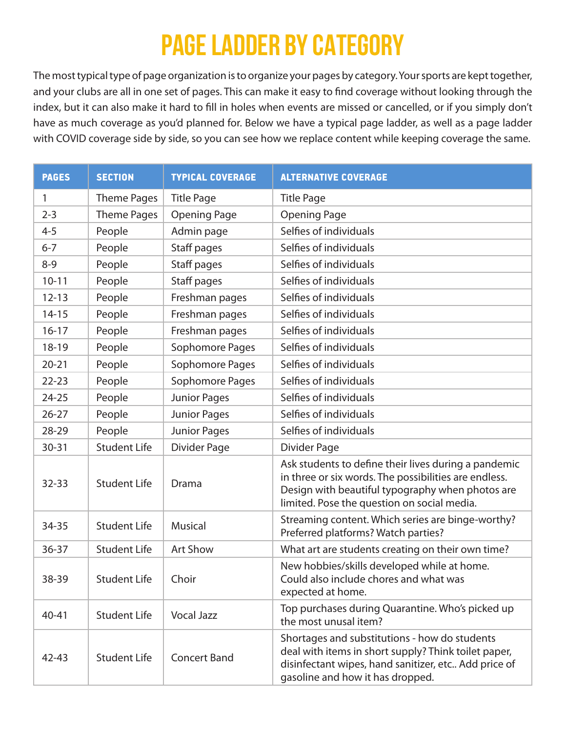## **PAGE LADDER BY CATEGORY**

The most typical type of page organization is to organize your pages by category. Your sports are kept together, and your clubs are all in one set of pages. This can make it easy to find coverage without looking through the index, but it can also make it hard to fill in holes when events are missed or cancelled, or if you simply don't have as much coverage as you'd planned for. Below we have a typical page ladder, as well as a page ladder with COVID coverage side by side, so you can see how we replace content while keeping coverage the same.

| <b>PAGES</b> | <b>SECTION</b>      | <b>TYPICAL COVERAGE</b> | <b>ALTERNATIVE COVERAGE</b>                                                                                                                                                                                      |
|--------------|---------------------|-------------------------|------------------------------------------------------------------------------------------------------------------------------------------------------------------------------------------------------------------|
| 1            | <b>Theme Pages</b>  | <b>Title Page</b>       | <b>Title Page</b>                                                                                                                                                                                                |
| $2 - 3$      | <b>Theme Pages</b>  | <b>Opening Page</b>     | <b>Opening Page</b>                                                                                                                                                                                              |
| $4 - 5$      | People              | Admin page              | Selfies of individuals                                                                                                                                                                                           |
| $6 - 7$      | People              | Staff pages             | Selfies of individuals                                                                                                                                                                                           |
| $8 - 9$      | People              | Staff pages             | Selfies of individuals                                                                                                                                                                                           |
| $10 - 11$    | People              | Staff pages             | Selfies of individuals                                                                                                                                                                                           |
| $12 - 13$    | People              | Freshman pages          | Selfies of individuals                                                                                                                                                                                           |
| $14 - 15$    | People              | Freshman pages          | Selfies of individuals                                                                                                                                                                                           |
| $16 - 17$    | People              | Freshman pages          | Selfies of individuals                                                                                                                                                                                           |
| 18-19        | People              | Sophomore Pages         | Selfies of individuals                                                                                                                                                                                           |
| $20 - 21$    | People              | Sophomore Pages         | Selfies of individuals                                                                                                                                                                                           |
| $22 - 23$    | People              | Sophomore Pages         | Selfies of individuals                                                                                                                                                                                           |
| $24 - 25$    | People              | <b>Junior Pages</b>     | Selfies of individuals                                                                                                                                                                                           |
| $26 - 27$    | People              | <b>Junior Pages</b>     | Selfies of individuals                                                                                                                                                                                           |
| 28-29        | People              | <b>Junior Pages</b>     | Selfies of individuals                                                                                                                                                                                           |
| $30 - 31$    | <b>Student Life</b> | Divider Page            | Divider Page                                                                                                                                                                                                     |
| $32 - 33$    | <b>Student Life</b> | Drama                   | Ask students to define their lives during a pandemic<br>in three or six words. The possibilities are endless.<br>Design with beautiful typography when photos are<br>limited. Pose the question on social media. |
| 34-35        | <b>Student Life</b> | <b>Musical</b>          | Streaming content. Which series are binge-worthy?<br>Preferred platforms? Watch parties?                                                                                                                         |
| $36 - 37$    | <b>Student Life</b> | Art Show                | What art are students creating on their own time?                                                                                                                                                                |
| 38-39        | <b>Student Life</b> | Choir                   | New hobbies/skills developed while at home.<br>Could also include chores and what was<br>expected at home.                                                                                                       |
| 40-41        | <b>Student Life</b> | <b>Vocal Jazz</b>       | Top purchases during Quarantine. Who's picked up<br>the most unusal item?                                                                                                                                        |
| $42 - 43$    | <b>Student Life</b> | <b>Concert Band</b>     | Shortages and substitutions - how do students<br>deal with items in short supply? Think toilet paper,<br>disinfectant wipes, hand sanitizer, etc Add price of<br>gasoline and how it has dropped.                |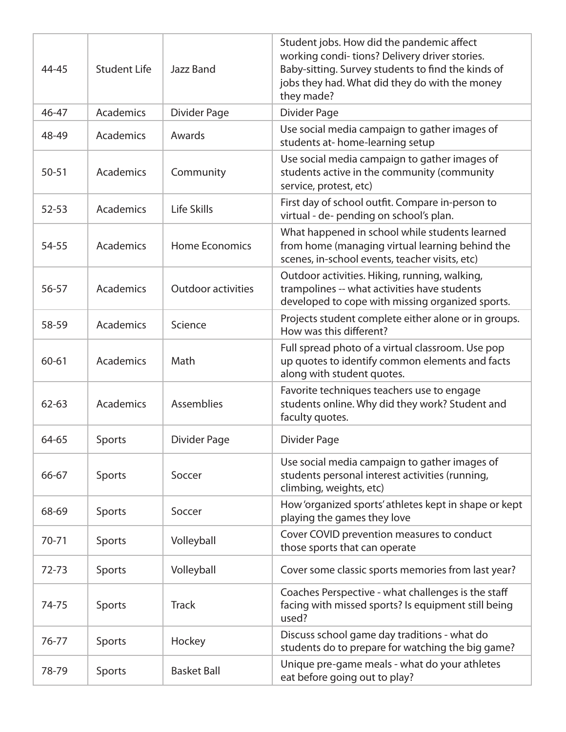| 44-45     | Student Life | Jazz Band                 | Student jobs. How did the pandemic affect<br>working condi-tions? Delivery driver stories.<br>Baby-sitting. Survey students to find the kinds of<br>jobs they had. What did they do with the money<br>they made? |
|-----------|--------------|---------------------------|------------------------------------------------------------------------------------------------------------------------------------------------------------------------------------------------------------------|
| 46-47     | Academics    | Divider Page              | Divider Page                                                                                                                                                                                                     |
| 48-49     | Academics    | Awards                    | Use social media campaign to gather images of<br>students at-home-learning setup                                                                                                                                 |
| $50 - 51$ | Academics    | Community                 | Use social media campaign to gather images of<br>students active in the community (community<br>service, protest, etc)                                                                                           |
| $52 - 53$ | Academics    | Life Skills               | First day of school outfit. Compare in-person to<br>virtual - de- pending on school's plan.                                                                                                                      |
| 54-55     | Academics    | <b>Home Economics</b>     | What happened in school while students learned<br>from home (managing virtual learning behind the<br>scenes, in-school events, teacher visits, etc)                                                              |
| 56-57     | Academics    | <b>Outdoor activities</b> | Outdoor activities. Hiking, running, walking,<br>trampolines -- what activities have students<br>developed to cope with missing organized sports.                                                                |
| 58-59     | Academics    | Science                   | Projects student complete either alone or in groups.<br>How was this different?                                                                                                                                  |
| 60-61     | Academics    | Math                      | Full spread photo of a virtual classroom. Use pop<br>up quotes to identify common elements and facts<br>along with student quotes.                                                                               |
| 62-63     | Academics    | Assemblies                | Favorite techniques teachers use to engage<br>students online. Why did they work? Student and<br>faculty quotes.                                                                                                 |
| 64-65     | Sports       | Divider Page              | Divider Page                                                                                                                                                                                                     |
| 66-67     | Sports       | Soccer                    | Use social media campaign to gather images of<br>students personal interest activities (running,<br>climbing, weights, etc)                                                                                      |
| 68-69     | Sports       | Soccer                    | How 'organized sports' athletes kept in shape or kept<br>playing the games they love                                                                                                                             |
| $70 - 71$ | Sports       | Volleyball                | Cover COVID prevention measures to conduct<br>those sports that can operate                                                                                                                                      |
| $72 - 73$ | Sports       | Volleyball                | Cover some classic sports memories from last year?                                                                                                                                                               |
| 74-75     | Sports       | <b>Track</b>              | Coaches Perspective - what challenges is the staff<br>facing with missed sports? Is equipment still being<br>used?                                                                                               |
| 76-77     | Sports       | Hockey                    | Discuss school game day traditions - what do<br>students do to prepare for watching the big game?                                                                                                                |
| 78-79     | Sports       | <b>Basket Ball</b>        | Unique pre-game meals - what do your athletes<br>eat before going out to play?                                                                                                                                   |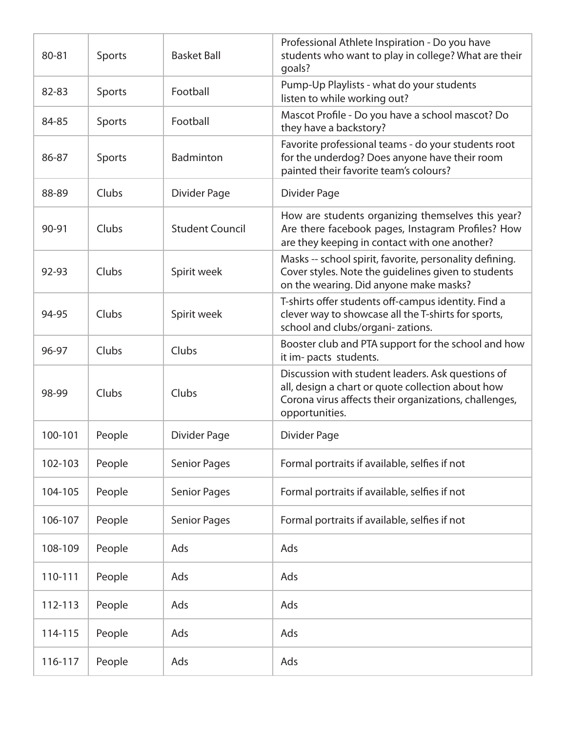| 80-81   | Sports | <b>Basket Ball</b>     | Professional Athlete Inspiration - Do you have<br>students who want to play in college? What are their<br>goals?                                                                  |
|---------|--------|------------------------|-----------------------------------------------------------------------------------------------------------------------------------------------------------------------------------|
| 82-83   | Sports | Football               | Pump-Up Playlists - what do your students<br>listen to while working out?                                                                                                         |
| 84-85   | Sports | Football               | Mascot Profile - Do you have a school mascot? Do<br>they have a backstory?                                                                                                        |
| 86-87   | Sports | <b>Badminton</b>       | Favorite professional teams - do your students root<br>for the underdog? Does anyone have their room<br>painted their favorite team's colours?                                    |
| 88-89   | Clubs  | Divider Page           | Divider Page                                                                                                                                                                      |
| 90-91   | Clubs  | <b>Student Council</b> | How are students organizing themselves this year?<br>Are there facebook pages, Instagram Profiles? How<br>are they keeping in contact with one another?                           |
| 92-93   | Clubs  | Spirit week            | Masks -- school spirit, favorite, personality defining.<br>Cover styles. Note the guidelines given to students<br>on the wearing. Did anyone make masks?                          |
| 94-95   | Clubs  | Spirit week            | T-shirts offer students off-campus identity. Find a<br>clever way to showcase all the T-shirts for sports,<br>school and clubs/organi-zations.                                    |
| 96-97   | Clubs  | Clubs                  | Booster club and PTA support for the school and how<br>it im- pacts students.                                                                                                     |
| 98-99   | Clubs  | Clubs                  | Discussion with student leaders. Ask questions of<br>all, design a chart or quote collection about how<br>Corona virus affects their organizations, challenges,<br>opportunities. |
| 100-101 | People | Divider Page           | Divider Page                                                                                                                                                                      |
| 102-103 | People | <b>Senior Pages</b>    | Formal portraits if available, selfies if not                                                                                                                                     |
| 104-105 | People | <b>Senior Pages</b>    | Formal portraits if available, selfies if not                                                                                                                                     |
| 106-107 | People | <b>Senior Pages</b>    | Formal portraits if available, selfies if not                                                                                                                                     |
| 108-109 | People | Ads                    | Ads                                                                                                                                                                               |
| 110-111 | People | Ads                    | Ads                                                                                                                                                                               |
| 112-113 | People | Ads                    | Ads                                                                                                                                                                               |
| 114-115 | People | Ads                    | Ads                                                                                                                                                                               |
| 116-117 | People | Ads                    | Ads                                                                                                                                                                               |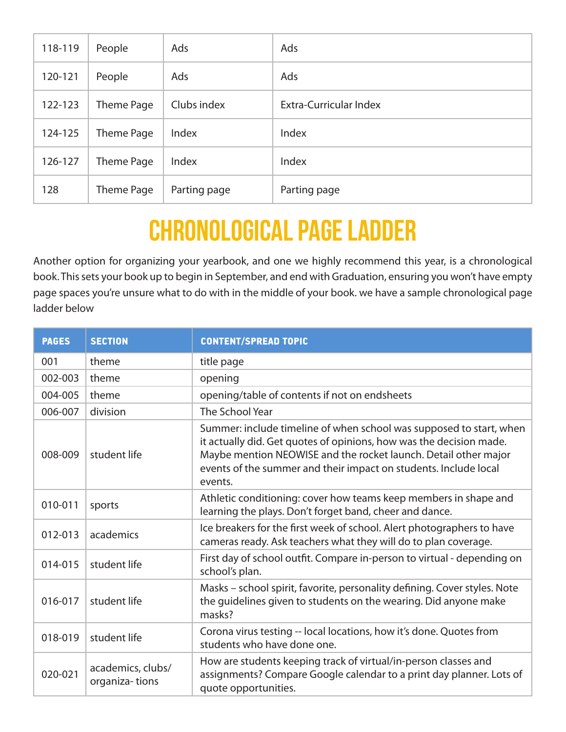| 118-119 | People     | Ads          | Ads                    |
|---------|------------|--------------|------------------------|
| 120-121 | People     | Ads          | Ads                    |
| 122-123 | Theme Page | Clubs index  | Extra-Curricular Index |
| 124-125 | Theme Page | Index        | Index                  |
| 126-127 | Theme Page | Index        | Index                  |
| 128     | Theme Page | Parting page | Parting page           |

## **CHRONOLOGICAL PAGE LADDER**

Another option for organizing your yearbook, and one we highly recommend this year, is a chronological book. This sets your book up to begin in September, and end with Graduation, ensuring you won't have empty page spaces you're unsure what to do with in the middle of your book. we have a sample chronological page ladder below

| <b>PAGES</b> | <b>SECTION</b>                      | <b>CONTENT/SPREAD TOPIC</b>                                                                                                                                                                                                                                                                  |
|--------------|-------------------------------------|----------------------------------------------------------------------------------------------------------------------------------------------------------------------------------------------------------------------------------------------------------------------------------------------|
| 001          | theme                               | title page                                                                                                                                                                                                                                                                                   |
| 002-003      | theme                               | opening                                                                                                                                                                                                                                                                                      |
| 004-005      | theme                               | opening/table of contents if not on endsheets                                                                                                                                                                                                                                                |
| 006-007      | division                            | The School Year                                                                                                                                                                                                                                                                              |
| 008-009      | student life                        | Summer: include timeline of when school was supposed to start, when<br>it actually did. Get quotes of opinions, how was the decision made.<br>Maybe mention NEOWISE and the rocket launch. Detail other major<br>events of the summer and their impact on students. Include local<br>events. |
| 010-011      | sports                              | Athletic conditioning: cover how teams keep members in shape and<br>learning the plays. Don't forget band, cheer and dance.                                                                                                                                                                  |
| 012-013      | academics                           | Ice breakers for the first week of school. Alert photographers to have<br>cameras ready. Ask teachers what they will do to plan coverage.                                                                                                                                                    |
| 014-015      | student life                        | First day of school outfit. Compare in-person to virtual - depending on<br>school's plan.                                                                                                                                                                                                    |
| 016-017      | student life                        | Masks - school spirit, favorite, personality defining. Cover styles. Note<br>the guidelines given to students on the wearing. Did anyone make<br>masks?                                                                                                                                      |
| 018-019      | student life                        | Corona virus testing -- local locations, how it's done. Quotes from<br>students who have done one.                                                                                                                                                                                           |
| 020-021      | academics, clubs/<br>organiza-tions | How are students keeping track of virtual/in-person classes and<br>assignments? Compare Google calendar to a print day planner. Lots of<br>quote opportunities.                                                                                                                              |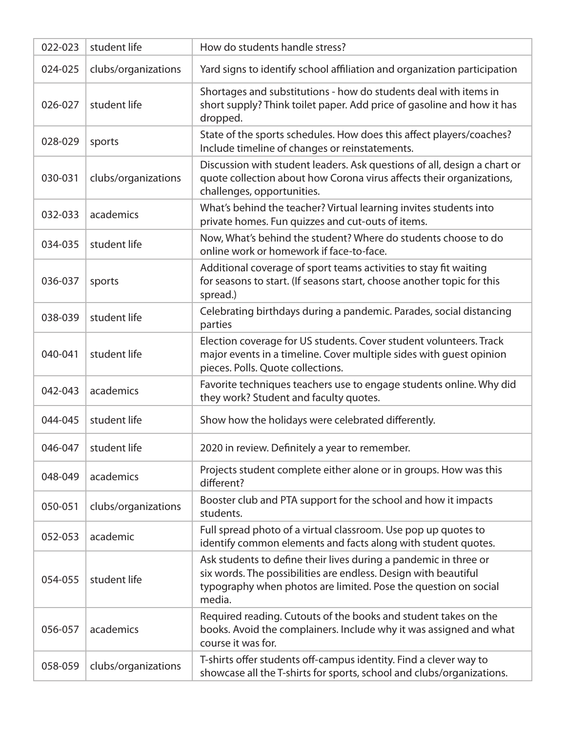| 022-023 | student life        | How do students handle stress?                                                                                                                                                                                   |
|---------|---------------------|------------------------------------------------------------------------------------------------------------------------------------------------------------------------------------------------------------------|
| 024-025 | clubs/organizations | Yard signs to identify school affiliation and organization participation                                                                                                                                         |
| 026-027 | student life        | Shortages and substitutions - how do students deal with items in<br>short supply? Think toilet paper. Add price of gasoline and how it has<br>dropped.                                                           |
| 028-029 | sports              | State of the sports schedules. How does this affect players/coaches?<br>Include timeline of changes or reinstatements.                                                                                           |
| 030-031 | clubs/organizations | Discussion with student leaders. Ask questions of all, design a chart or<br>quote collection about how Corona virus affects their organizations,<br>challenges, opportunities.                                   |
| 032-033 | academics           | What's behind the teacher? Virtual learning invites students into<br>private homes. Fun quizzes and cut-outs of items.                                                                                           |
| 034-035 | student life        | Now, What's behind the student? Where do students choose to do<br>online work or homework if face-to-face.                                                                                                       |
| 036-037 | sports              | Additional coverage of sport teams activities to stay fit waiting<br>for seasons to start. (If seasons start, choose another topic for this<br>spread.)                                                          |
| 038-039 | student life        | Celebrating birthdays during a pandemic. Parades, social distancing<br>parties                                                                                                                                   |
| 040-041 | student life        | Election coverage for US students. Cover student volunteers. Track<br>major events in a timeline. Cover multiple sides with guest opinion<br>pieces. Polls. Quote collections.                                   |
| 042-043 | academics           | Favorite techniques teachers use to engage students online. Why did<br>they work? Student and faculty quotes.                                                                                                    |
| 044-045 | student life        | Show how the holidays were celebrated differently.                                                                                                                                                               |
| 046-047 | student life        | 2020 in review. Definitely a year to remember.                                                                                                                                                                   |
| 048-049 | academics           | Projects student complete either alone or in groups. How was this<br>different?                                                                                                                                  |
| 050-051 | clubs/organizations | Booster club and PTA support for the school and how it impacts<br>students.                                                                                                                                      |
| 052-053 | academic            | Full spread photo of a virtual classroom. Use pop up quotes to<br>identify common elements and facts along with student quotes.                                                                                  |
| 054-055 | student life        | Ask students to define their lives during a pandemic in three or<br>six words. The possibilities are endless. Design with beautiful<br>typography when photos are limited. Pose the question on social<br>media. |
| 056-057 | academics           | Required reading. Cutouts of the books and student takes on the<br>books. Avoid the complainers. Include why it was assigned and what<br>course it was for.                                                      |
| 058-059 | clubs/organizations | T-shirts offer students off-campus identity. Find a clever way to<br>showcase all the T-shirts for sports, school and clubs/organizations.                                                                       |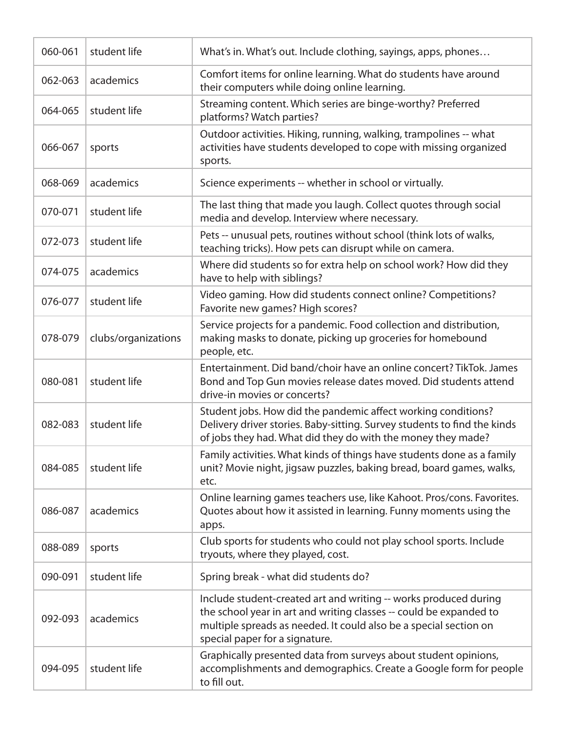| 060-061 | student life        | What's in. What's out. Include clothing, sayings, apps, phones                                                                                                                                                                                |
|---------|---------------------|-----------------------------------------------------------------------------------------------------------------------------------------------------------------------------------------------------------------------------------------------|
| 062-063 | academics           | Comfort items for online learning. What do students have around<br>their computers while doing online learning.                                                                                                                               |
| 064-065 | student life        | Streaming content. Which series are binge-worthy? Preferred<br>platforms? Watch parties?                                                                                                                                                      |
| 066-067 | sports              | Outdoor activities. Hiking, running, walking, trampolines -- what<br>activities have students developed to cope with missing organized<br>sports.                                                                                             |
| 068-069 | academics           | Science experiments -- whether in school or virtually.                                                                                                                                                                                        |
| 070-071 | student life        | The last thing that made you laugh. Collect quotes through social<br>media and develop. Interview where necessary.                                                                                                                            |
| 072-073 | student life        | Pets -- unusual pets, routines without school (think lots of walks,<br>teaching tricks). How pets can disrupt while on camera.                                                                                                                |
| 074-075 | academics           | Where did students so for extra help on school work? How did they<br>have to help with siblings?                                                                                                                                              |
| 076-077 | student life        | Video gaming. How did students connect online? Competitions?<br>Favorite new games? High scores?                                                                                                                                              |
| 078-079 | clubs/organizations | Service projects for a pandemic. Food collection and distribution,<br>making masks to donate, picking up groceries for homebound<br>people, etc.                                                                                              |
| 080-081 | student life        | Entertainment. Did band/choir have an online concert? TikTok. James<br>Bond and Top Gun movies release dates moved. Did students attend<br>drive-in movies or concerts?                                                                       |
| 082-083 | student life        | Student jobs. How did the pandemic affect working conditions?<br>Delivery driver stories. Baby-sitting. Survey students to find the kinds<br>of jobs they had. What did they do with the money they made?                                     |
| 084-085 | student life        | Family activities. What kinds of things have students done as a family<br>unit? Movie night, jigsaw puzzles, baking bread, board games, walks,<br>etc.                                                                                        |
| 086-087 | academics           | Online learning games teachers use, like Kahoot. Pros/cons. Favorites.<br>Quotes about how it assisted in learning. Funny moments using the<br>apps.                                                                                          |
| 088-089 | sports              | Club sports for students who could not play school sports. Include<br>tryouts, where they played, cost.                                                                                                                                       |
| 090-091 | student life        | Spring break - what did students do?                                                                                                                                                                                                          |
| 092-093 | academics           | Include student-created art and writing -- works produced during<br>the school year in art and writing classes -- could be expanded to<br>multiple spreads as needed. It could also be a special section on<br>special paper for a signature. |
| 094-095 | student life        | Graphically presented data from surveys about student opinions,<br>accomplishments and demographics. Create a Google form for people<br>to fill out.                                                                                          |